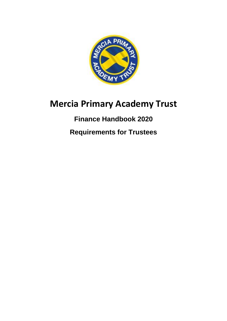

# **Mercia Primary Academy Trust**

## **Finance Handbook 2020**

**Requirements for Trustees**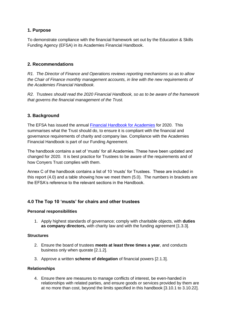#### **1. Purpose**

To demonstrate compliance with the financial framework set out by the Education & Skills Funding Agency (EFSA) in its Academies Financial Handbook.

#### **2. Recommendations**

*R1. The Director of Finance and Operations reviews reporting mechanisms so as to allow the Chair of Finance monthly management accounts, in line with the new requirements of the Academies Financial Handbook.* 

*R2. Trustees should read the 2020 Financial Handbook, so as to be aware of the framework that governs the financial management of the Trust.* 

#### **3. Background**

The EFSA has issued the annual [Financial Handbook for Academies](https://www.gov.uk/government/publications/academies-financial-handbook) for 2020. This summarises what the Trust should do, to ensure it is compliant with the financial and governance requirements of charity and company law. Compliance with the Academies Financial Handbook is part of our Funding Agreement.

The handbook contains a set of 'musts' for all Academies. These have been updated and changed for 2020. It is best practice for Trustees to be aware of the requirements and of how Conyers Trust complies with them.

Annex C of the handbook contains a list of 10 'musts' for Trustees. These are included in this report (4.0) and a table showing how we meet them (5.0). The numbers in brackets are the EFSA's reference to the relevant sections in the Handbook.

#### **4.0 The Top 10 'musts' for chairs and other trustees**

#### **Personal responsibilities**

1. Apply highest standards of governance; comply with charitable objects, with **duties as company directors,** with charity law and with the funding agreement [1.3.3].

#### **Structures**

- 2. Ensure the board of trustees **meets at least three times a year**, and conducts business only when quorate [2.1.2].
- 3. Approve a written **scheme of delegation** of financial powers [2.1.3].

#### **Relationships**

4. Ensure there are measures to manage conflicts of interest, be even-handed in relationships with related parties, and ensure goods or services provided by them are at no more than cost, beyond the limits specified in this handbook [3.10.1 to 3.10.22].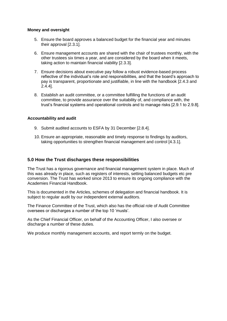#### **Money and oversight**

- 5. Ensure the board approves a balanced budget for the financial year and minutes their approval [2.3.1].
- 6. Ensure management accounts are shared with the chair of trustees monthly, with the other trustees six times a year, and are considered by the board when it meets, taking action to maintain financial viability [2.3.3].
- 7. Ensure decisions about executive pay follow a robust evidence-based process reflective of the individual's role and responsibilities, and that the board's approach to pay is transparent, proportionate and justifiable, in line with the handbook [2.4.3 and 2.4.4].
- 8. Establish an audit committee, or a committee fulfilling the functions of an audit committee, to provide assurance over the suitability of, and compliance with, the trust's financial systems and operational controls and to manage risks [2.9.1 to 2.9.8].

#### **Accountability and audit**

- 9. Submit audited accounts to ESFA by 31 December [2.8.4].
- 10. Ensure an appropriate, reasonable and timely response to findings by auditors, taking opportunities to strengthen financial management and control [4.3.1].

#### **5.0 How the Trust discharges these responsibilities**

The Trust has a rigorous governance and financial management system in place. Much of this was already in place, such as registers of interests, setting balanced budgets etc pre conversion. The Trust has worked since 2013 to ensure its ongoing compliance with the Academies Financial Handbook.

This is documented in the Articles, schemes of delegation and financial handbook. It is subject to regular audit by our independent external auditors.

The Finance Committee of the Trust, which also has the official role of Audit Committee oversees or discharges a number of the top 10 'musts'.

As the Chief Financial Officer, on behalf of the Accounting Officer, I also oversee or discharge a number of these duties.

We produce monthly management accounts, and report termly on the budget.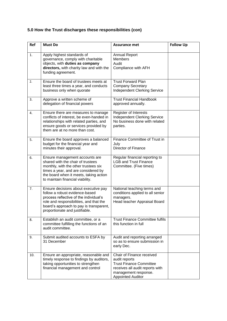### **5.0 How the Trust discharges these responsibilities (con)**

| Ref | <b>Must Do</b>                                                                                                                                                                                                                           | <b>Assurance met</b>                                                                                                                                                | <b>Follow Up</b> |
|-----|------------------------------------------------------------------------------------------------------------------------------------------------------------------------------------------------------------------------------------------|---------------------------------------------------------------------------------------------------------------------------------------------------------------------|------------------|
| 1.  | Apply highest standards of<br>governance, comply with charitable<br>objects, with duties as company<br>directors, with charity law and with the<br>funding agreement.                                                                    | <b>Annual Report</b><br><b>Members</b><br>Audit<br>Compliance with AFH                                                                                              |                  |
| 2.  | Ensure the board of trustees meets at<br>least three times a year, and conducts<br>business only when quorate                                                                                                                            | <b>Trust Forward Plan</b><br><b>Company Secretary</b><br><b>Independent Clerking Service</b>                                                                        |                  |
| 3.  | Approve a written scheme of<br>delegation of financial powers                                                                                                                                                                            | <b>Trust Financial Handbook</b><br>approved annually.                                                                                                               |                  |
| 4.  | Ensure there are measures to manage<br>conflicts of interest, be even-handed in<br>relationships with related parties, and<br>ensure goods or services provided by<br>them are at no more than cost.                                     | Register of Interests<br><b>Independent Clerking Service</b><br>No business done with related<br>parties.                                                           |                  |
| 5.  | Ensure the board approves a balanced<br>budget for the financial year and<br>minutes their approval.                                                                                                                                     | Finance Committee of Trust in<br>July<br>Director of Finance                                                                                                        |                  |
| 6.  | Ensure management accounts are<br>shared with the chair of trustees<br>monthly, with the other trustees six<br>times a year, and are considered by<br>the board when it meets, taking action<br>to maintain financial viability.         | Regular financial reporting to<br><b>LGB and Trust Finance</b><br>Committee. (Five times)                                                                           |                  |
| 7.  | Ensure decisions about executive pay<br>follow a robust evidence-based<br>process reflective of the individual's<br>role and responsibilities, and that the<br>board's approach to pay is transparent,<br>proportionate and justifiable. | National teaching terms and<br>conditions applied to all senior<br>managers.<br>Head teacher Appraisal Board                                                        |                  |
| 8.  | Establish an audit committee, or a<br>committee fulfilling the functions of an<br>audit committee.                                                                                                                                       | <b>Trust Finance Committee fulfils</b><br>this function in full                                                                                                     |                  |
| 9.  | Submit audited accounts to ESFA by<br>31 December                                                                                                                                                                                        | Audit and reporting arranged<br>so as to ensure submission in<br>early Dec.                                                                                         |                  |
| 10. | Ensure an appropriate, reasonable and<br>timely response to findings by auditors,<br>taking opportunities to strengthen<br>financial management and control                                                                              | Chair of Finance received<br>audit reports<br><b>Trust Finance Committee</b><br>receives all audit reports with<br>management response.<br><b>Appointed Auditor</b> |                  |